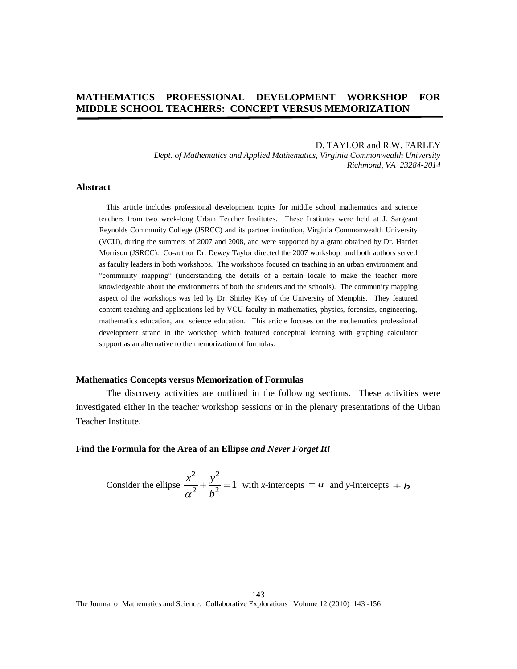# **MATHEMATICS PROFESSIONAL DEVELOPMENT WORKSHOP FOR MIDDLE SCHOOL TEACHERS: CONCEPT VERSUS MEMORIZATION**

### D. TAYLOR and R.W. FARLEY

*Dept. of Mathematics and Applied Mathematics, Virginia Commonwealth University Richmond, VA 23284-2014* 

### **Abstract**

This article includes professional development topics for middle school mathematics and science teachers from two week-long Urban Teacher Institutes. These Institutes were held at J. Sargeant Reynolds Community College (JSRCC) and its partner institution, Virginia Commonwealth University (VCU), during the summers of 2007 and 2008, and were supported by a grant obtained by Dr. Harriet Morrison (JSRCC). Co-author Dr. Dewey Taylor directed the 2007 workshop, and both authors served as faculty leaders in both workshops. The workshops focused on teaching in an urban environment and "community mapping" (understanding the details of a certain locale to make the teacher more knowledgeable about the environments of both the students and the schools). The community mapping aspect of the workshops was led by Dr. Shirley Key of the University of Memphis. They featured content teaching and applications led by VCU faculty in mathematics, physics, forensics, engineering, mathematics education, and science education. This article focuses on the mathematics professional development strand in the workshop which featured conceptual learning with graphing calculator support as an alternative to the memorization of formulas.

#### **Mathematics Concepts versus Memorization of Formulas**

The discovery activities are outlined in the following sections. These activities were investigated either in the teacher workshop sessions or in the plenary presentations of the Urban Teacher Institute.

### **Find the Formula for the Area of an Ellipse** *and Never Forget It!*

Consider the ellipse 2  $\sqrt{2}$  $\frac{y}{2} + \frac{y}{4^2} = 1$  $x^2$ , y  $a^2$  *b*  $+\frac{y}{l^2}$  = 1 with *x*-intercepts  $\pm a$  and *y*-intercepts  $\pm b$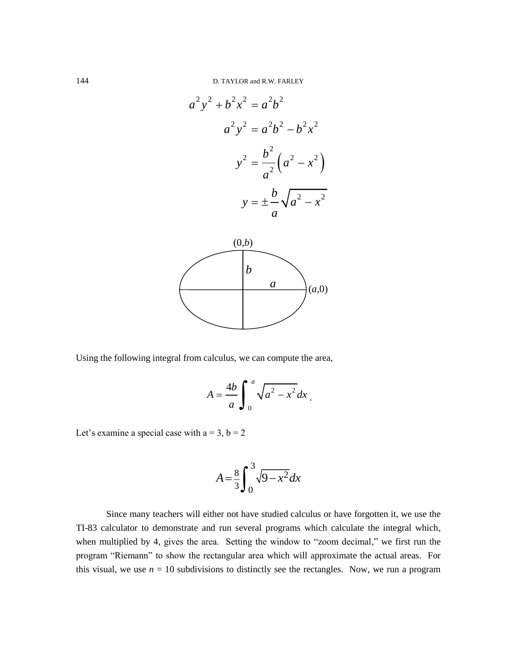

Using the following integral from calculus, we can compute the area,

$$
A = \frac{4b}{a} \int_0^a \sqrt{a^2 - x^2} dx
$$

Let's examine a special case with  $a = 3$ ,  $b = 2$ 

$$
A = \frac{8}{3} \int_0^3 \sqrt{9 - x^2} dx
$$

Since many teachers will either not have studied calculus or have forgotten it, we use the TI-83 calculator to demonstrate and run several programs which calculate the integral which, when multiplied by 4, gives the area. Setting the window to "zoom decimal," we first run the program "Riemann" to show the rectangular area which will approximate the actual areas. For this visual, we use  $n = 10$  subdivisions to distinctly see the rectangles. Now, we run a program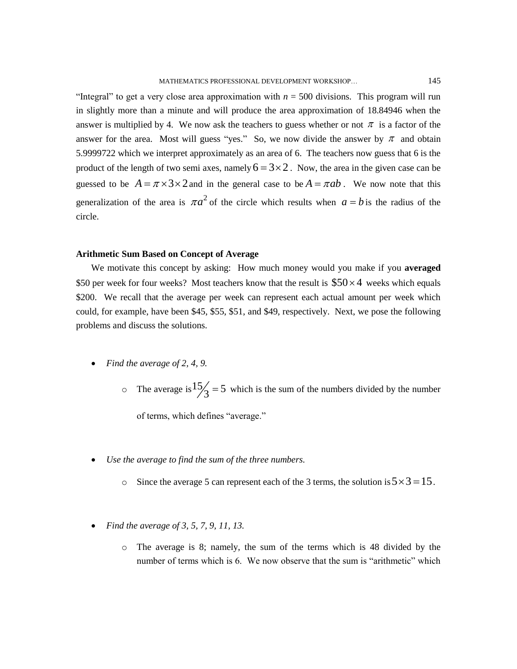"Integral" to get a very close area approximation with  $n = 500$  divisions. This program will run in slightly more than a minute and will produce the area approximation of 18.84946 when the answer is multiplied by 4. We now ask the teachers to guess whether or not  $\pi$  is a factor of the answer for the area. Most will guess "yes." So, we now divide the answer by  $\pi$  and obtain 5.9999722 which we interpret approximately as an area of 6. The teachers now guess that 6 is the product of the length of two semi axes, namely  $6 = 3 \times 2$ . Now, the area in the given case can be guessed to be  $A = \pi \times 3 \times 2$  and in the general case to be  $A = \pi ab$ . We now note that this generalization of the area is  $\pi a^2$  of the circle which results when  $a = b$  is the radius of the circle.

### **Arithmetic Sum Based on Concept of Average**

We motivate this concept by asking: How much money would you make if you **averaged** \$50 per week for four weeks? Most teachers know that the result is  $$50 \times 4$  weeks which equals \$200. We recall that the average per week can represent each actual amount per week which could, for example, have been \$45, \$55, \$51, and \$49, respectively. Next, we pose the following problems and discuss the solutions.

- *Find the average of 2, 4, 9.*
	- $\circ$  The average is  $\frac{15}{3} = 5$  which is the sum of the numbers divided by the number

of terms, which defines "average."

- *Use the average to find the sum of the three numbers.* 
	- Since the average 5 can represent each of the 3 terms, the solution is  $5 \times 3 = 15$ .
- *Find the average of 3, 5, 7, 9, 11, 13.* 
	- o The average is 8; namely, the sum of the terms which is 48 divided by the number of terms which is 6. We now observe that the sum is "arithmetic" which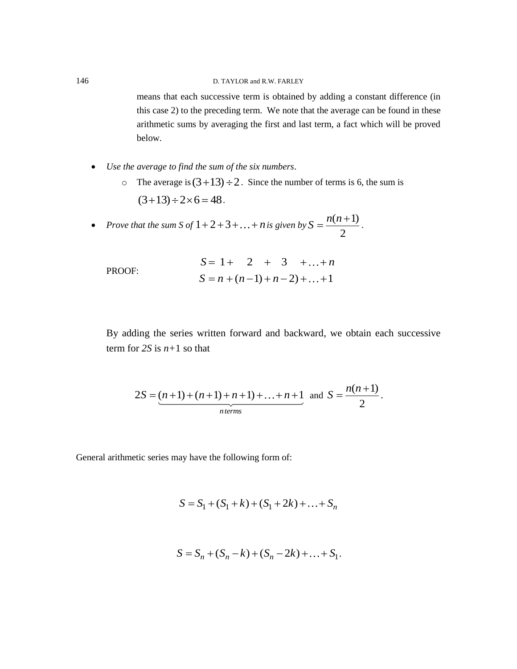## 146 D. TAYLOR and R.W. FARLEY

means that each successive term is obtained by adding a constant difference (in this case 2) to the preceding term. We note that the average can be found in these arithmetic sums by averaging the first and last term, a fact which will be proved below.

- *Use the average to find the sum of the six numbers*.
	- $\circ$  The average is  $(3+13) \div 2$ . Since the number of terms is 6, the sum is  $(3+13) \div 2 \times 6 = 48$ .
- Prove that the sum *S* of  $1+2+3+\ldots+n$  is given by  $S = \frac{n(n+1)}{2}$ 2  $S = \frac{n(n+1)}{n}$  $=\frac{n(n+1)}{2}$ .

|        |                              | $S = 1 + 2 + 3 +  + n$ |  |  |  |
|--------|------------------------------|------------------------|--|--|--|
| PROOF: | $S = n + (n-1) + n-2 +  + 1$ |                        |  |  |  |

By adding the series written forward and backward, we obtain each successive term for  $2S$  is  $n+1$  so that

$$
2S = (n+1) + (n+1) + n+1 + \ldots + n+1
$$
 and  $S = \frac{n(n+1)}{2}$ .

General arithmetic series may have the following form of:

$$
S = S_1 + (S_1 + k) + (S_1 + 2k) + \dots + S_n
$$

$$
S = S_n + (S_n - k) + (S_n - 2k) + \dots + S_1.
$$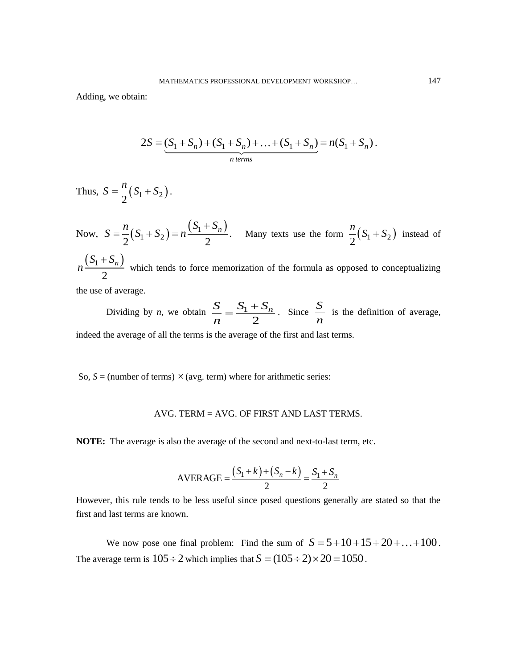Adding, we obtain:

$$
2S = (S_1 + S_n) + (S_1 + S_n) + \dots + (S_1 + S_n) = n(S_1 + S_n).
$$
  
*n terms*

Thus, 
$$
S = \frac{n}{2}(S_1 + S_2)
$$
.

Now,  $S = \frac{n}{2}(S_1 + S_2) = n \frac{(S_1 + S_n)}{2}$  $n_{(S_1 + S_2)} = \frac{S_1 + S_n}{S_2}$  $S = \frac{n}{2}(S_1 + S_2) = n\frac{(S_1 + S_n)}{2}$ . Many texts use the form  $\frac{n}{2}(S_1 + S_2)$  $\frac{n}{2}(S_1 + S_2)$  instead of  $(S_1 + S_n)$ 2  $S_1 + S_n$ *n*  $\ddot{}$  which tends to force memorization of the formula as opposed to conceptualizing the use of average.

Dividing by *n*, we obtain  $\frac{S}{N} = \frac{S_1}{S_2}$  $\overline{2}$  $\frac{S}{s}$   $\frac{S_1 + S_n}{s}$ *n*  $=\frac{S_1+S_n}{2}$ . Since  $\frac{S_1-S_n}{S_1}$  $\frac{\partial}{\partial n}$  is the definition of average, indeed the average of all the terms is the average of the first and last terms.

So,  $S =$  (number of terms)  $\times$  (avg. term) where for arithmetic series:

## AVG. TERM = AVG. OF FIRST AND LAST TERMS.

**NOTE:** The average is also the average of the second and next-to-last term, etc.

AVERAGE = 
$$
\frac{(S_1 + k) + (S_n - k)}{2} = \frac{S_1 + S_n}{2}
$$

However, this rule tends to be less useful since posed questions generally are stated so that the first and last terms are known.

We now pose one final problem: Find the sum of  $S = 5 + 10 + 15 + 20 + ... + 100$ . The average term is  $105 \div 2$  which implies that  $S = (105 \div 2) \times 20 = 1050$ .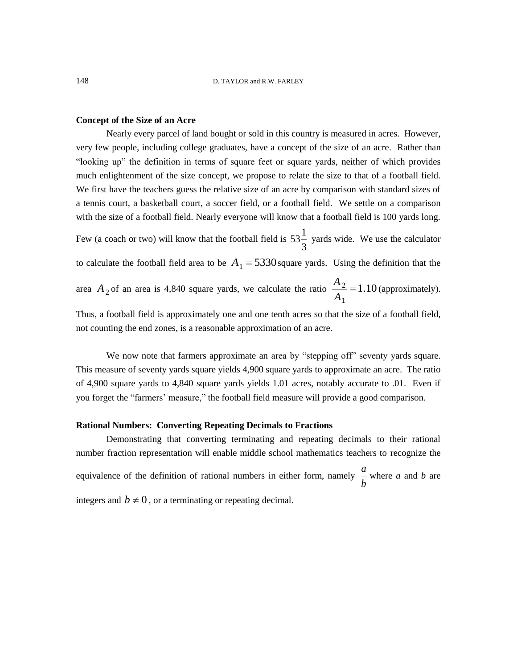### **Concept of the Size of an Acre**

Nearly every parcel of land bought or sold in this country is measured in acres. However, very few people, including college graduates, have a concept of the size of an acre. Rather than "looking up" the definition in terms of square feet or square yards, neither of which provides much enlightenment of the size concept, we propose to relate the size to that of a football field. We first have the teachers guess the relative size of an acre by comparison with standard sizes of a tennis court, a basketball court, a soccer field, or a football field. We settle on a comparison with the size of a football field. Nearly everyone will know that a football field is 100 yards long. Few (a coach or two) will know that the football field is  $53\frac{1}{2}$ 3 yards wide. We use the calculator to calculate the football field area to be  $A_1 = 5330$  square yards. Using the definition that the area  $A_2$  of an area is 4,840 square yards, we calculate the ratio  $\frac{A_2}{A_2}$ 1  $\frac{A_2}{4}$  = 1.10 *A*  $=1.10$  (approximately).

Thus, a football field is approximately one and one tenth acres so that the size of a football field, not counting the end zones, is a reasonable approximation of an acre.

We now note that farmers approximate an area by "stepping off" seventy vards square. This measure of seventy yards square yields 4,900 square yards to approximate an acre. The ratio of 4,900 square yards to 4,840 square yards yields 1.01 acres, notably accurate to .01. Even if you forget the "farmers' measure," the football field measure will provide a good comparison.

### **Rational Numbers: Converting Repeating Decimals to Fractions**

Demonstrating that converting terminating and repeating decimals to their rational number fraction representation will enable middle school mathematics teachers to recognize the equivalence of the definition of rational numbers in either form, namely  $\frac{a}{b}$ *b* where *a* and *b* are integers and  $b \neq 0$ , or a terminating or repeating decimal.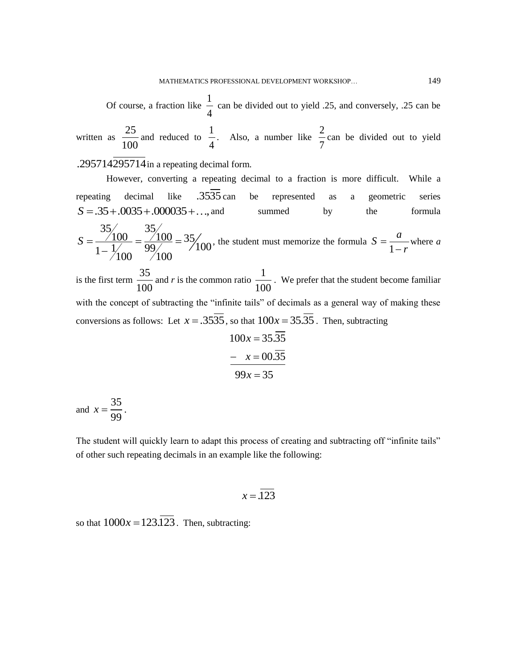1

Of course, a fraction like 
$$
\frac{1}{4}
$$
 can be divided out to yield .25, and conversely, .25 can be written as  $\frac{25}{100}$  and reduced to  $\frac{1}{4}$ . Also, a number like  $\frac{2}{7}$  can be divided out to yield

.295714295714 in a repeating decimal form.

However, converting a repeating decimal to a fraction is more difficult. While a repeating decimal like  $.35\overline{35}$  can be represented as a geometric series  $S = .35 + .0035 + .000035 + ...$ , and summed by the formula  $35/35$ <br> $35/100$  $\frac{100}{100} = \frac{35}{100} = 35$  $\frac{100}{1 - \frac{1}{100}} = \frac{100}{99} = \frac{35}{100}$  $S = \frac{35}{1.1} = \frac{35}{99} = 35/100 = 35/100$  $\overline{a}$ , the student must memorize the formula 1  $S = \frac{a}{a}$ *r*  $=$  $\overline{a}$ where *a* is the first term  $\frac{35}{100}$ 100 and *r* is the common ratio  $\frac{1}{10}$ 100 . We prefer that the student become familiar with the concept of subtracting the "infinite tails" of decimals as a general way of making these conversions as follows: Let  $x = .3535$ , so that  $100x = 35.35$ . Then, subtracting

$$
100x = 35.\overline{35}
$$
  
-  $x = 00.\overline{35}$   

$$
99x = 35
$$

and  $x = \frac{35}{35}$ 99  $x = \frac{33}{28}$ .

The student will quickly learn to adapt this process of creating and subtracting off "infinite tails" of other such repeating decimals in an example like the following:

$$
x = .123
$$

so that  $1000x = 123.\overline{123}$ . Then, subtracting: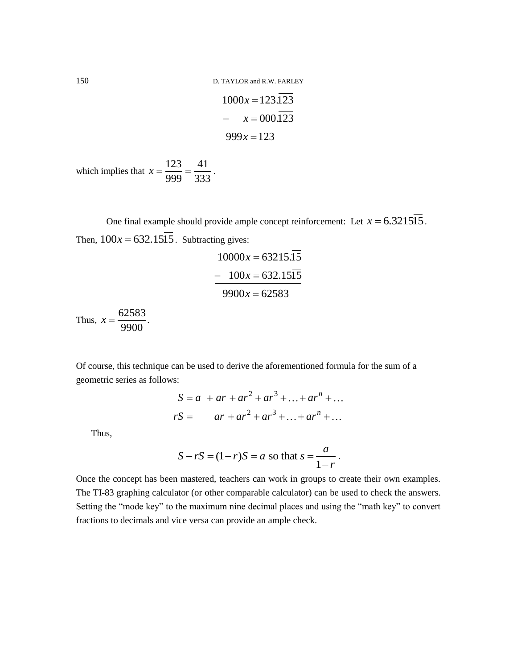150 D. TAYLOR and R.W. FARLEY

$$
1000x = 123.\overline{123}
$$
  
-  $x = 000.\overline{123}$   

$$
999x = 123
$$

which implies that  $x = \frac{123}{300} = \frac{41}{201}$ 999 333  $x = \frac{125}{222} = \frac{41}{222}$ .

One final example should provide ample concept reinforcement: Let  $x = 6.321515$ . Then,  $100x = 632.15\overline{15}$ . Subtracting gives:

$$
10000x = 63215.\overline{15}
$$
  
- 100x = 632.15 $\overline{15}$   
9900x = 62583

Thus,  $x = \frac{62583}{3000}$ 9900  $x = \frac{02505}{0000}$ .

Of course, this technique can be used to derive the aforementioned formula for the sum of a geometric series as follows:

*rs*:  
\n
$$
S = a + ar + ar2 + ar3 + ... + arn + ...
$$
\n
$$
rS = ar + ar2 + ar3 + ... + arn + ...
$$

Thus,

$$
S - rS = (1 - r)S = a
$$
 so that  $s = \frac{a}{1 - r}$ .

Once the concept has been mastered, teachers can work in groups to create their own examples. The TI-83 graphing calculator (or other comparable calculator) can be used to check the answers. Setting the "mode key" to the maximum nine decimal places and using the "math key" to convert fractions to decimals and vice versa can provide an ample check.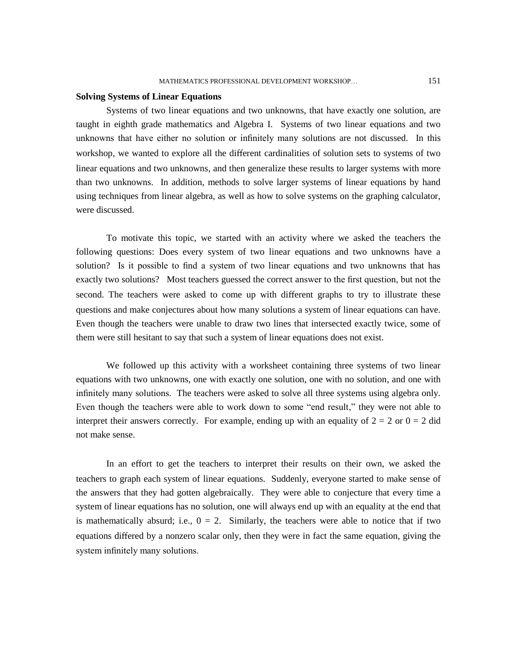## **Solving Systems of Linear Equations**

Systems of two linear equations and two unknowns, that have exactly one solution, are taught in eighth grade mathematics and Algebra I. Systems of two linear equations and two unknowns that have either no solution or infinitely many solutions are not discussed. In this workshop, we wanted to explore all the different cardinalities of solution sets to systems of two linear equations and two unknowns, and then generalize these results to larger systems with more than two unknowns. In addition, methods to solve larger systems of linear equations by hand using techniques from linear algebra, as well as how to solve systems on the graphing calculator, were discussed.

To motivate this topic, we started with an activity where we asked the teachers the following questions: Does every system of two linear equations and two unknowns have a solution? Is it possible to find a system of two linear equations and two unknowns that has exactly two solutions? Most teachers guessed the correct answer to the first question, but not the second. The teachers were asked to come up with different graphs to try to illustrate these questions and make conjectures about how many solutions a system of linear equations can have. Even though the teachers were unable to draw two lines that intersected exactly twice, some of them were still hesitant to say that such a system of linear equations does not exist.

We followed up this activity with a worksheet containing three systems of two linear equations with two unknowns, one with exactly one solution, one with no solution, and one with infinitely many solutions. The teachers were asked to solve all three systems using algebra only. Even though the teachers were able to work down to some "end result," they were not able to interpret their answers correctly. For example, ending up with an equality of  $2 = 2$  or  $0 = 2$  did not make sense.

In an effort to get the teachers to interpret their results on their own, we asked the teachers to graph each system of linear equations. Suddenly, everyone started to make sense of the answers that they had gotten algebraically. They were able to conjecture that every time a system of linear equations has no solution, one will always end up with an equality at the end that is mathematically absurd; i.e.,  $0 = 2$ . Similarly, the teachers were able to notice that if two equations differed by a nonzero scalar only, then they were in fact the same equation, giving the system infinitely many solutions.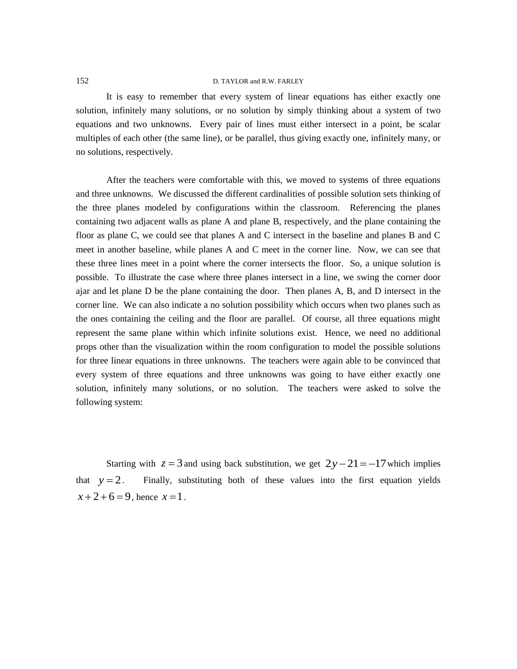## 152 D. TAYLOR and R.W. FARLEY

It is easy to remember that every system of linear equations has either exactly one solution, infinitely many solutions, or no solution by simply thinking about a system of two equations and two unknowns. Every pair of lines must either intersect in a point, be scalar multiples of each other (the same line), or be parallel, thus giving exactly one, infinitely many, or no solutions, respectively.

After the teachers were comfortable with this, we moved to systems of three equations and three unknowns. We discussed the different cardinalities of possible solution sets thinking of the three planes modeled by configurations within the classroom. Referencing the planes containing two adjacent walls as plane A and plane B, respectively, and the plane containing the floor as plane C, we could see that planes A and C intersect in the baseline and planes B and C meet in another baseline, while planes A and C meet in the corner line. Now, we can see that these three lines meet in a point where the corner intersects the floor. So, a unique solution is possible. To illustrate the case where three planes intersect in a line, we swing the corner door ajar and let plane D be the plane containing the door. Then planes A, B, and D intersect in the corner line. We can also indicate a no solution possibility which occurs when two planes such as the ones containing the ceiling and the floor are parallel. Of course, all three equations might represent the same plane within which infinite solutions exist. Hence, we need no additional props other than the visualization within the room configuration to model the possible solutions for three linear equations in three unknowns. The teachers were again able to be convinced that every system of three equations and three unknowns was going to have either exactly one solution, infinitely many solutions, or no solution. The teachers were asked to solve the following system:

Starting with  $z = 3$  and using back substitution, we get  $2y - 21 = -17$  which implies that  $y = 2$ . Finally, substituting both of these values into the first equation yields  $x+2+6=9$ , hence  $x=1$ .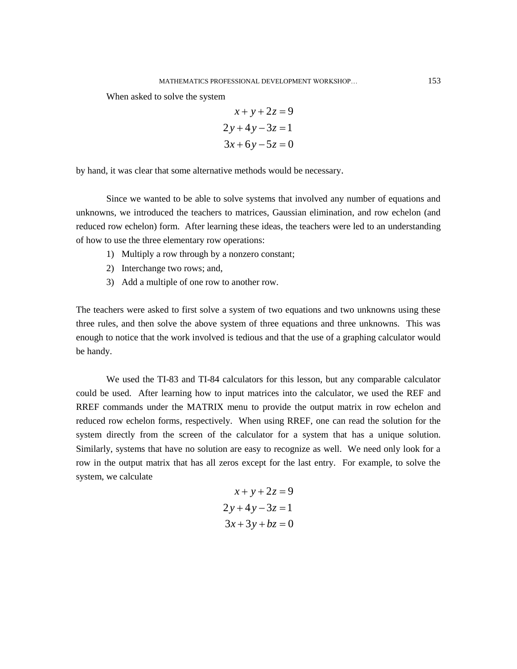When asked to solve the system

$$
x+y+2z=9
$$
  
2y+4y-3z=1  

$$
3x+6y-5z=0
$$

by hand, it was clear that some alternative methods would be necessary.

Since we wanted to be able to solve systems that involved any number of equations and unknowns, we introduced the teachers to matrices, Gaussian elimination, and row echelon (and reduced row echelon) form. After learning these ideas, the teachers were led to an understanding of how to use the three elementary row operations:

- 1) Multiply a row through by a nonzero constant;
- 2) Interchange two rows; and,
- 3) Add a multiple of one row to another row.

The teachers were asked to first solve a system of two equations and two unknowns using these three rules, and then solve the above system of three equations and three unknowns. This was enough to notice that the work involved is tedious and that the use of a graphing calculator would be handy.

We used the TI-83 and TI-84 calculators for this lesson, but any comparable calculator could be used. After learning how to input matrices into the calculator, we used the REF and RREF commands under the MATRIX menu to provide the output matrix in row echelon and reduced row echelon forms, respectively. When using RREF, one can read the solution for the system directly from the screen of the calculator for a system that has a unique solution. Similarly, systems that have no solution are easy to recognize as well. We need only look for a row in the output matrix that has all zeros except for the last entry. For example, to solve the system, we calculate

$$
x+y+2z=9
$$
  
2y+4y-3z=1  

$$
3x+3y+bz=0
$$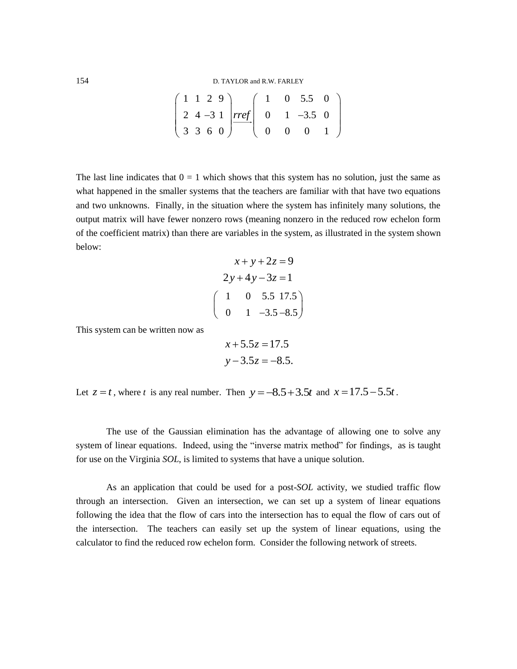| D. TAYLOR and R.W. FARLEY |  |  |                                                                                                                                                                                                                                 |  |  |  |  |  |  |
|---------------------------|--|--|---------------------------------------------------------------------------------------------------------------------------------------------------------------------------------------------------------------------------------|--|--|--|--|--|--|
|                           |  |  |                                                                                                                                                                                                                                 |  |  |  |  |  |  |
|                           |  |  | $\left(\begin{array}{rrrrr} 1 & 1 & 2 & 9 \\ 2 & 4 & -3 & 1 \\ 3 & 3 & 6 & 0 \end{array}\right) \frac{rref}{\qquad \qquad } \left(\begin{array}{rrrrr} 1 & 0 & 5.5 & 0 \\ 0 & 1 & -3.5 & 0 \\ 0 & 0 & 0 & 1 \end{array}\right)$ |  |  |  |  |  |  |
|                           |  |  |                                                                                                                                                                                                                                 |  |  |  |  |  |  |

The last line indicates that  $0 = 1$  which shows that this system has no solution, just the same as what happened in the smaller systems that the teachers are familiar with that have two equations and two unknowns. Finally, in the situation where the system has infinitely many solutions, the output matrix will have fewer nonzero rows (meaning nonzero in the reduced row echelon form of the coefficient matrix) than there are variables in the system, as illustrated in the system shown below:

$$
x+y+2z = 9
$$
  
2y+4y-3z = 1  

$$
\begin{pmatrix} 1 & 0 & 5.5 & 17.5 \\ 0 & 1 & -3.5 & -8.5 \end{pmatrix}
$$

This system can be written now as

$$
x + 5.5z = 17.5
$$
  

$$
y - 3.5z = -8.5.
$$

Let  $z = t$ , where *t* is any real number. Then  $y = -8.5 + 3.5t$  and  $x = 17.5 - 5.5t$ .

The use of the Gaussian elimination has the advantage of allowing one to solve any system of linear equations. Indeed, using the "inverse matrix method" for findings, as is taught for use on the Virginia *SOL*, is limited to systems that have a unique solution.

As an application that could be used for a post-*SOL* activity, we studied traffic flow through an intersection. Given an intersection, we can set up a system of linear equations following the idea that the flow of cars into the intersection has to equal the flow of cars out of the intersection. The teachers can easily set up the system of linear equations, using the calculator to find the reduced row echelon form. Consider the following network of streets.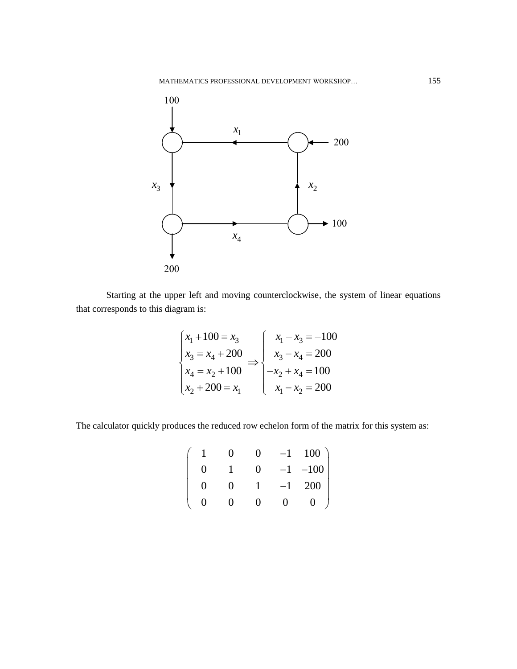

Starting at the upper left and moving counterclockwise, the system of linear equations that corresponds to this diagram is:

$$
\begin{cases}\nx_1 + 100 = x_3 \\
x_3 = x_4 + 200 \\
x_4 = x_2 + 100\n\end{cases} \Rightarrow\n\begin{cases}\nx_1 - x_3 = -100 \\
x_3 - x_4 = 200 \\
-x_2 + x_4 = 100 \\
x_1 - x_2 = 200\n\end{cases}
$$

The calculator quickly produces the reduced row echelon form of the matrix for this system as:

$$
\left(\begin{array}{cccccc}\n1 & 0 & 0 & -1 & 100 \\
0 & 1 & 0 & -1 & -100 \\
0 & 0 & 1 & -1 & 200 \\
0 & 0 & 0 & 0 & 0\n\end{array}\right)
$$